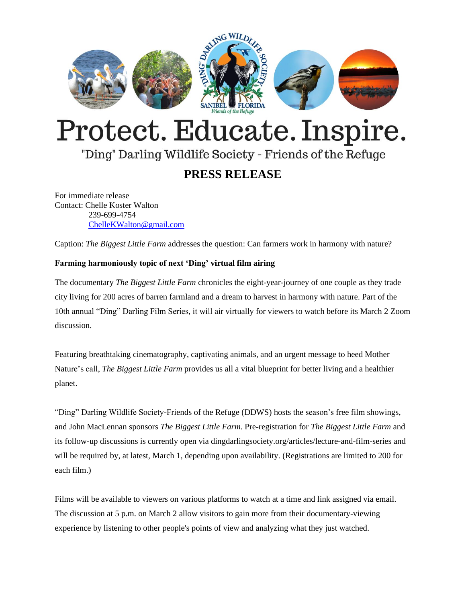

# Protect. Educate. Inspire.

## "Ding" Darling Wildlife Society - Friends of the Refuge

### **PRESS RELEASE**

For immediate release Contact: Chelle Koster Walton 239-699-4754 [ChelleKWalton@gmail.com](mailto:ChelleKWalton@gmail.com)

Caption: *The Biggest Little Farm* addresses the question: Can farmers work in harmony with nature?

#### **Farming harmoniously topic of next 'Ding' virtual film airing**

The documentary *The Biggest Little Farm* chronicles the eight-year-journey of one couple as they trade city living for 200 acres of barren farmland and a dream to harvest in harmony with nature. Part of the 10th annual "Ding" Darling Film Series, it will air virtually for viewers to watch before its March 2 Zoom discussion.

Featuring breathtaking cinematography, captivating animals, and an urgent message to heed Mother Nature's call, *The Biggest Little Farm* provides us all a vital blueprint for better living and a healthier planet.

"Ding" Darling Wildlife Society-Friends of the Refuge (DDWS) hosts the season's free film showings, and John MacLennan sponsors *The Biggest Little Farm*. Pre-registration for *The Biggest Little Farm* and its follow-up discussions is currently open via dingdarlingsociety.org/articles/lecture-and-film-series and will be required by, at latest, March 1, depending upon availability. (Registrations are limited to 200 for each film.)

Films will be available to viewers on various platforms to watch at a time and link assigned via email. The discussion at 5 p.m. on March 2 allow visitors to gain more from their documentary-viewing experience by listening to other people's points of view and analyzing what they just watched.